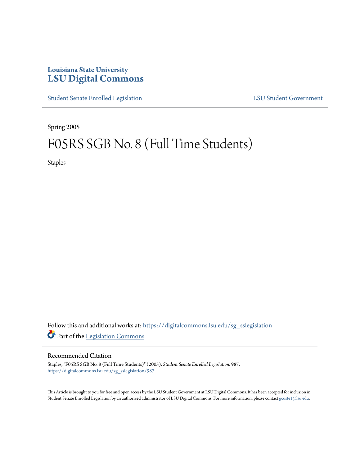# **Louisiana State University [LSU Digital Commons](https://digitalcommons.lsu.edu?utm_source=digitalcommons.lsu.edu%2Fsg_sslegislation%2F987&utm_medium=PDF&utm_campaign=PDFCoverPages)**

[Student Senate Enrolled Legislation](https://digitalcommons.lsu.edu/sg_sslegislation?utm_source=digitalcommons.lsu.edu%2Fsg_sslegislation%2F987&utm_medium=PDF&utm_campaign=PDFCoverPages) [LSU Student Government](https://digitalcommons.lsu.edu/sg?utm_source=digitalcommons.lsu.edu%2Fsg_sslegislation%2F987&utm_medium=PDF&utm_campaign=PDFCoverPages)

Spring 2005

# F05RS SGB No. 8 (Full Time Students)

Staples

Follow this and additional works at: [https://digitalcommons.lsu.edu/sg\\_sslegislation](https://digitalcommons.lsu.edu/sg_sslegislation?utm_source=digitalcommons.lsu.edu%2Fsg_sslegislation%2F987&utm_medium=PDF&utm_campaign=PDFCoverPages) Part of the [Legislation Commons](http://network.bepress.com/hgg/discipline/859?utm_source=digitalcommons.lsu.edu%2Fsg_sslegislation%2F987&utm_medium=PDF&utm_campaign=PDFCoverPages)

#### Recommended Citation

Staples, "F05RS SGB No. 8 (Full Time Students)" (2005). *Student Senate Enrolled Legislation*. 987. [https://digitalcommons.lsu.edu/sg\\_sslegislation/987](https://digitalcommons.lsu.edu/sg_sslegislation/987?utm_source=digitalcommons.lsu.edu%2Fsg_sslegislation%2F987&utm_medium=PDF&utm_campaign=PDFCoverPages)

This Article is brought to you for free and open access by the LSU Student Government at LSU Digital Commons. It has been accepted for inclusion in Student Senate Enrolled Legislation by an authorized administrator of LSU Digital Commons. For more information, please contact [gcoste1@lsu.edu.](mailto:gcoste1@lsu.edu)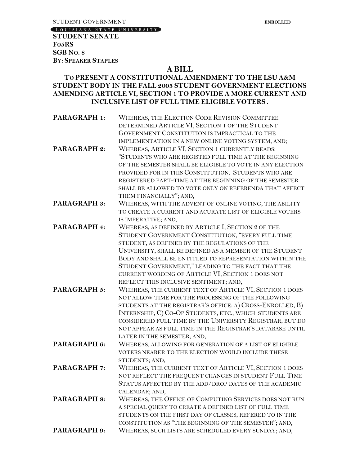[LOUISIANA STATE UNIVERSITY]

**STUDENT SENATE F05RS SGB NO. 8 BY: SPEAKER STAPLES** 

## **A BILL**

### **TO PRESENT A CONSTITUTIONAL AMENDMENT TO THE LSU A&M STUDENT BODY IN THE FALL 2005 STUDENT GOVERNMENT ELECTIONS AMENDING ARTICLE VI, SECTION 1 TO PROVIDE A MORE CURRENT AND INCLUSIVE LIST OF FULL TIME ELIGIBLE VOTERS .**

**PARAGRAPH 1:** WHEREAS, THE ELECTION CODE REVISION COMMITTEE DETERMINED ARTICLE VI, SECTION 1 OF THE STUDENT GOVERNMENT CONSTITUTION IS IMPRACTICAL TO THE IMPLEMENTATION IN A NEW ONLINE VOTING SYSTEM, AND; **PARAGRAPH 2:** WHEREAS, ARTICLE VI, SECTION 1 CURRENTLY READS: "STUDENTS WHO ARE REGISTED FULL TIME AT THE BEGINNING OF THE SEMESTER SHALL BE ELIGIBLE TO VOTE IN ANY ELECTION PROVIDED FOR IN THIS CONSTITUTION. STUDENTS WHO ARE REGISTERED PART-TIME AT THE BEGINNING OF THE SEMESTER SHALL BE ALLOWED TO VOTE ONLY ON REFERENDA THAT AFFECT THEM FINANCIALLY"; AND, PARAGRAPH 3: WHEREAS, WITH THE ADVENT OF ONLINE VOTING, THE ABILITY TO CREATE A CURRENT AND ACURATE LIST OF ELIGIBLE VOTERS IS IMPERATIVE; AND, **PARAGRAPH 4:** WHEREAS, AS DEFINED BY ARTICLE I, SECTION 2 OF THE STUDENT GOVERNMENT CONSTITUTION, "EVERY FULL TIME STUDENT, AS DEFINED BY THE REGULATIONS OF THE UNIVERSITY, SHALL BE DEFINED AS A MEMBER OF THE STUDENT BODY AND SHALL BE ENTITLED TO REPRESENTATION WITHIN THE STUDENT GOVERNMENT," LEADING TO THE FACT THAT THE CURRENT WORDING OF ARTICLE VI, SECTION 1 DOES NOT REFLECT THIS INCLUSIVE SENTIMENT; AND, PARAGRAPH 5: WHEREAS, THE CURRENT TEXT OF ARTICLE VI, SECTION 1 DOES NOT ALLOW TIME FOR THE PROCESSING OF THE FOLLOWING STUDENTS AT THE REGISTRAR'S OFFICE: A) CROSS-ENROLLED, B) INTERNSHIP, C) CO-OP STUDENTS, ETC., WHICH STUDENTS ARE CONSIDERED FULL TIME BY THE UNIVERSITY REGISTRAR, BUT DO NOT APPEAR AS FULL TIME IN THE REGISTRAR'S DATABASE UNTIL LATER IN THE SEMESTER; AND, **PARAGRAPH 6:** WHEREAS, ALLOWING FOR GENERATION OF A LIST OF ELIGIBLE VOTERS NEARER TO THE ELECTION WOULD INCLUDE THESE STUDENTS; AND, PARAGRAPH 7: WHEREAS, THE CURRENT TEXT OF ARTICLE VI, SECTION 1 DOES NOT REFLECT THE FREQUENT CHANGES IN STUDENT FULL TIME STATUS AFFECTED BY THE ADD/DROP DATES OF THE ACADEMIC CALENDAR; AND, **PARAGRAPH 8:** WHEREAS, THE OFFICE OF COMPUTING SERVICES DOES NOT RUN A SPECIAL QUERY TO CREATE A DEFINED LIST OF FULL TIME STUDENTS ON THE FIRST DAY OF CLASSES, REFERED TO IN THE CONSTITUTION AS "THE BEGINNING OF THE SEMESTER"; AND, **PARAGRAPH 9:** WHEREAS, SUCH LISTS ARE SCHEDULED EVERY SUNDAY; AND,